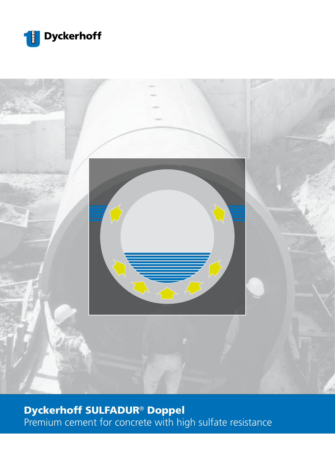



# Dyckerhoff SULFADUR® Doppel

Premium cement for concrete with high sulfate resistance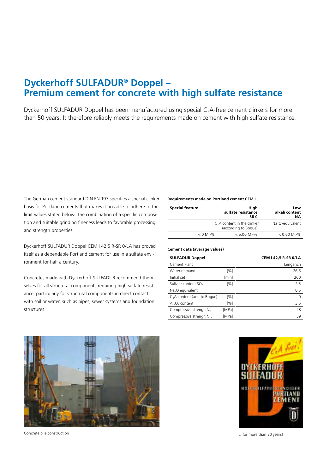## **Dyckerhoff SULFADUR® Doppel – Premium cement for concrete with high sulfate resistance**

Dyckerhoff SULFADUR Doppel has been manufactured using special C<sub>3</sub>A-free cement clinkers for more than 50 years. It therefore reliably meets the requirements made on cement with high sulfate resistance.

The German cement standard DIN EN 197 specifies a special clinker basis for Portland cements that makes it possible to adhere to the limit values stated below. The combination of a specific composition and suitable grinding fineness leads to favorable processing and strength properties.

Dyckerhoff SULFADUR Doppel CEM I 42,5 R-SR 0/LA has proved itself as a dependable Portland cement for use in a sulfate environment for half a century.

Concretes made with Dyckerhoff SULFADUR recommend themselves for all structural components requiring high sulfate resistance, particularly for structural components in direct contact with soil or water, such as pipes, sewer systems and foundation structures.

#### **Requirements made on Portland cement CEM I**

| <b>Special feature</b>       | Hiah<br>sulfate resistance<br>SR 0 | Low<br>alkali content<br>NA. |
|------------------------------|------------------------------------|------------------------------|
| $C3A$ content in the clinker | Na <sub>2</sub> O-equivalent       |                              |
| $< 0 M.-\%$                  | $< 5.00 M.-%$                      | $< 0.60$ M.-%                |

#### **Cement data (average values)**

| <b>SULFADUR Doppel</b>                   |        | CEM I 42,5 R-SR 0/LA |
|------------------------------------------|--------|----------------------|
| Cement Plant                             |        | Lengerich            |
| Water demand                             | [%]    | 26.5                 |
| Initial set                              | [min]  | 200                  |
| Sulfate content SO <sub>3</sub>          | [%]    | 2.3                  |
| Na <sub>2</sub> O equivalent             |        | 0.5                  |
| C <sub>2</sub> A content (acc. to Boque) | [%]    | $\Omega$             |
| $Al_2O_3$ content                        | $[\%]$ | 3.5                  |
| Compressive strengh N <sub>2</sub>       | [MPa]  | 28                   |
| Compressive strengh $N_{28}$             | [MPa]  | 59                   |



…for more than 50 years! Concrete pile construction

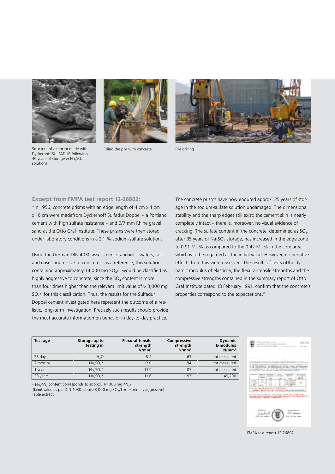

Structure of a mortar made with Dyckerhoff SULFADUR following 40 years of storage in  $Na<sub>2</sub>SO<sub>4</sub>$ solution!



Filling the pile with concrete Pile drilling



### **Excerpt from FMPA test report 12-26802:**

"In 1956, concrete prisms with an edge length of 4 cm x 4 cm x 16 cm were madefrom Dyckerhoff Sulfadur Doppel – a Portland cement with high sulfate resistance – and 0/7 mm Rhine gravel sand at the Otto Graf Institute. These prisms were then stored under laboratory conditions in a 2.1 % sodium-sulfate solution.

Using the German DIN 4030 assessment standard – waters, soils and gases aggressive to concrete – as a reference, this solution, containing approximately 14,000 mg SO<sub>4</sub>/l, would be classified as highly aggressive to concrete, since the  $SO<sub>4</sub>$  content is more than four times higher than the relevant limit value of  $> 3,000$  mg SO4/l for this classification. Thus, the results for the Sulfadur Doppel cement investigated here represent the outcome of a realistic, long-term investigation. Precisely such results should provide the most accurate information on behavior in day-to-day practice.

 $*$  Na<sub>2</sub>SO<sub>4</sub> content corresponds to approx. 14,000 mg SO<sub>4</sub>/l

Table extract

(Limit value as per DIN 4030: above 3,000 mg  $SO_4/I$  = extremely aggressive)

The concrete prisms have now endured approx. 35 years of storage in the sodium-sulfate solution undamaged. The dimensional stability and the sharp edges still exist; the cement skin is nearly completely intact – there is, moreover, no visual evidence of cracking. The sulfate content in the concrete, determined as  $SO<sub>3</sub>$ , after 35 years of  $Na<sub>2</sub>SO<sub>4</sub>$  storage, has increased in the edge zone to 0.91 M.-% as compared to the 0.42 M.-% in the core area, which is to be regarded as the initial value. However, no negative effects from this were observed. The results of tests ofthe dynamic modulus of elasticity, the flexural-tensile strengths and the compressive strengths contained in the summary report of Otto Graf Institute dated 18 February 1991, confirm that the concrete's properties correspond to the expectations."

| Test age | Storage up to<br>testing in | <b>Flexural-tensile</b><br>strength<br>$N/mm^2$ | Compressive<br>strength<br>$N/mm^2$ | <b>Dynamic</b><br>E-modulus<br>N/mm <sup>2</sup> |
|----------|-----------------------------|-------------------------------------------------|-------------------------------------|--------------------------------------------------|
| 28 days  | H <sub>2</sub> O            | 8.4                                             | 63                                  | not measured                                     |
| 7 months | $Na2SO4*$                   | 12.0                                            | 84                                  | not measured                                     |
| I year   | $Na2SO4*$                   | 11.9                                            | 87                                  | not measured                                     |
| 35 years | $Na2SO4*$                   | 11.6                                            | 92                                  | 49,200                                           |



FMPA test report 12-26802